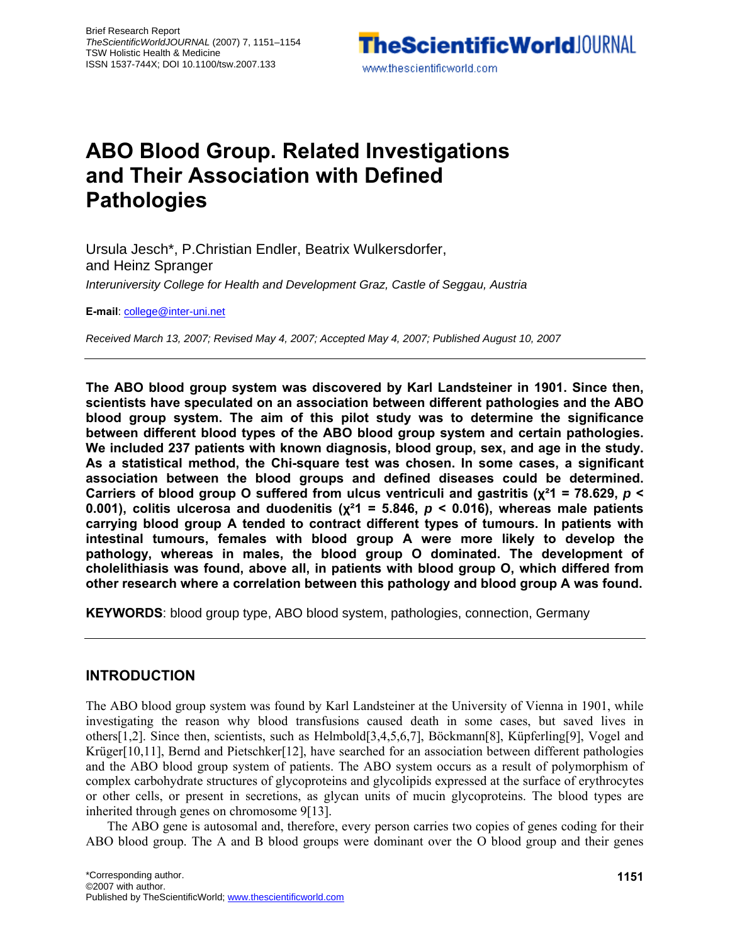

# **ABO Blood Group. Related Investigations and Their Association with Defined Pathologies**

Ursula Jesch\*, P.Christian Endler, Beatrix Wulkersdorfer, and Heinz Spranger *Interuniversity College for Health and Development Graz, Castle of Seggau, Austria* 

**E-mail**: college@inter-uni.net

*Received March 13, 2007; Revised May 4, 2007; Accepted May 4, 2007; Published August 10, 2007*

**The ABO blood group system was discovered by Karl Landsteiner in 1901. Since then, scientists have speculated on an association between different pathologies and the ABO blood group system. The aim of this pilot study was to determine the significance between different blood types of the ABO blood group system and certain pathologies. We included 237 patients with known diagnosis, blood group, sex, and age in the study. As a statistical method, the Chi-square test was chosen. In some cases, a significant association between the blood groups and defined diseases could be determined. Carriers of blood group O suffered from ulcus ventriculi and gastritis (χ²1 = 78.629,** *p* **< 0.001), colitis ulcerosa and duodenitis (χ²1 = 5.846,** *p* **< 0.016), whereas male patients carrying blood group A tended to contract different types of tumours. In patients with intestinal tumours, females with blood group A were more likely to develop the pathology, whereas in males, the blood group O dominated. The development of cholelithiasis was found, above all, in patients with blood group O, which differed from other research where a correlation between this pathology and blood group A was found.** 

**KEYWORDS**: blood group type, ABO blood system, pathologies, connection, Germany

### **INTRODUCTION**

The ABO blood group system was found by Karl Landsteiner at the University of Vienna in 1901, while investigating the reason why blood transfusions caused death in some cases, but saved lives in others[1,2]. Since then, scientists, such as Helmbold[3,4,5,6,7], Böckmann[8], Küpferling[9], Vogel and Krüger[10,11], Bernd and Pietschker[12], have searched for an association between different pathologies and the ABO blood group system of patients. The ABO system occurs as a result of polymorphism of complex carbohydrate structures of glycoproteins and glycolipids expressed at the surface of erythrocytes or other cells, or present in secretions, as glycan units of mucin glycoproteins. The blood types are inherited through genes on chromosome 9[13].

The ABO gene is autosomal and, therefore, every person carries two copies of genes coding for their ABO blood group. The A and B blood groups were dominant over the O blood group and their genes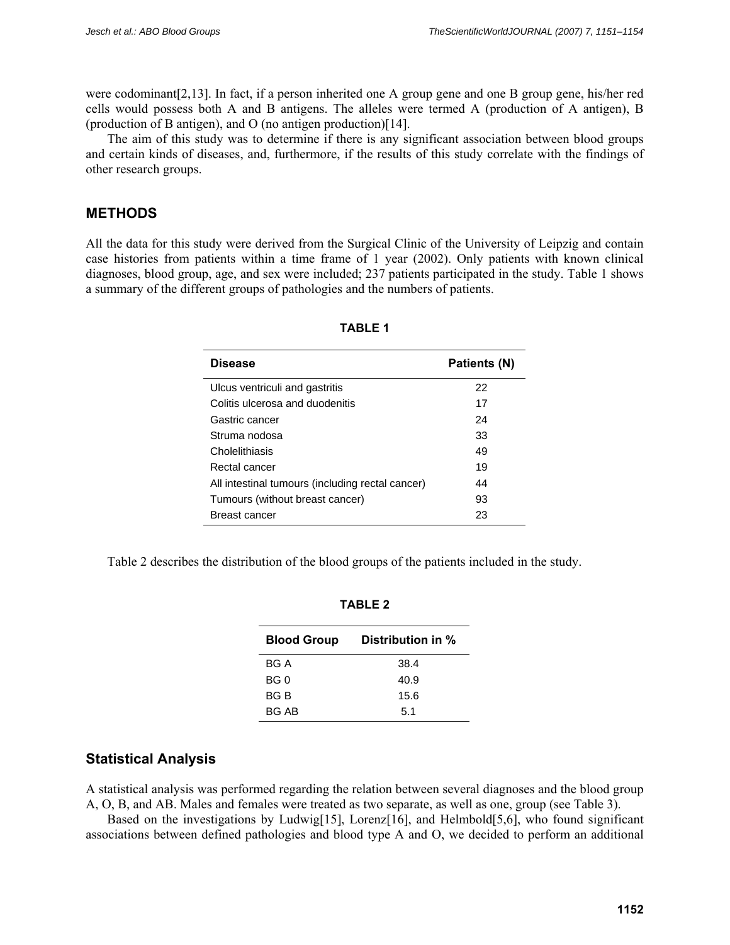were codominant[2,13]. In fact, if a person inherited one A group gene and one B group gene, his/her red cells would possess both A and B antigens. The alleles were termed A (production of A antigen), B (production of B antigen), and O (no antigen production)[14].

The aim of this study was to determine if there is any significant association between blood groups and certain kinds of diseases, and, furthermore, if the results of this study correlate with the findings of other research groups.

## **METHODS**

All the data for this study were derived from the Surgical Clinic of the University of Leipzig and contain case histories from patients within a time frame of 1 year (2002). Only patients with known clinical diagnoses, blood group, age, and sex were included; 237 patients participated in the study. Table 1 shows a summary of the different groups of pathologies and the numbers of patients.

| <b>Disease</b>                                   | Patients (N) |  |  |
|--------------------------------------------------|--------------|--|--|
| Ulcus ventriculi and gastritis                   | 22           |  |  |
| Colitis ulcerosa and duodenitis                  | 17           |  |  |
| Gastric cancer                                   | 24           |  |  |
| Struma nodosa                                    | 33           |  |  |
| Cholelithiasis                                   | 49           |  |  |
| Rectal cancer                                    | 19           |  |  |
| All intestinal tumours (including rectal cancer) | 44           |  |  |
| Tumours (without breast cancer)                  | 93           |  |  |
| Breast cancer                                    | 23           |  |  |

Table 2 describes the distribution of the blood groups of the patients included in the study.

| <b>Blood Group</b> | Distribution in % |  |  |  |  |
|--------------------|-------------------|--|--|--|--|
| BG A               | 38.4              |  |  |  |  |
| BG 0               | 40.9              |  |  |  |  |
| BG B               | 15.6              |  |  |  |  |
| BG AB              | 5.1               |  |  |  |  |

**TABLE 2** 

## **Statistical Analysis**

A statistical analysis was performed regarding the relation between several diagnoses and the blood group A, O, B, and AB. Males and females were treated as two separate, as well as one, group (see Table 3).

Based on the investigations by Ludwig[15], Lorenz[16], and Helmbold[5,6], who found significant associations between defined pathologies and blood type A and O, we decided to perform an additional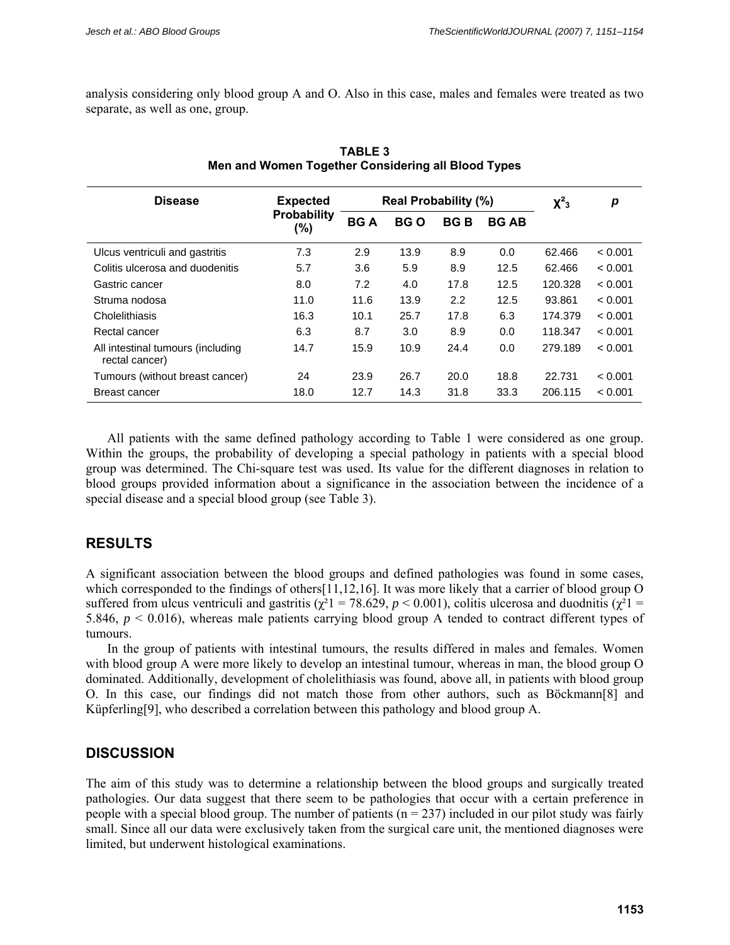analysis considering only blood group A and O. Also in this case, males and females were treated as two separate, as well as one, group.

| <b>Disease</b>                                      | <b>Expected</b><br>Probability<br>$(\%)$ | <b>Real Probability (%)</b> |            |            |              | $X^2$ <sub>3</sub> | p       |
|-----------------------------------------------------|------------------------------------------|-----------------------------|------------|------------|--------------|--------------------|---------|
|                                                     |                                          | <b>BGA</b>                  | <b>BGO</b> | <b>BGB</b> | <b>BG AB</b> |                    |         |
| Ulcus ventriculi and gastritis                      | 7.3                                      | 2.9                         | 13.9       | 8.9        | 0.0          | 62.466             | < 0.001 |
| Colitis ulcerosa and duodenitis                     | 5.7                                      | 3.6                         | 5.9        | 8.9        | 12.5         | 62.466             | < 0.001 |
| Gastric cancer                                      | 8.0                                      | 7.2                         | 4.0        | 17.8       | 12.5         | 120.328            | < 0.001 |
| Struma nodosa                                       | 11.0                                     | 11.6                        | 13.9       | 2.2        | 12.5         | 93.861             | < 0.001 |
| Cholelithiasis                                      | 16.3                                     | 10.1                        | 25.7       | 17.8       | 6.3          | 174.379            | < 0.001 |
| Rectal cancer                                       | 6.3                                      | 8.7                         | 3.0        | 8.9        | 0.0          | 118.347            | < 0.001 |
| All intestinal tumours (including<br>rectal cancer) | 14.7                                     | 15.9                        | 10.9       | 24.4       | 0.0          | 279.189            | < 0.001 |
| Tumours (without breast cancer)                     | 24                                       | 23.9                        | 26.7       | 20.0       | 18.8         | 22.731             | < 0.001 |
| Breast cancer                                       | 18.0                                     | 12.7                        | 14.3       | 31.8       | 33.3         | 206.115            | < 0.001 |

### **TABLE 3 Men and Women Together Considering all Blood Types**

All patients with the same defined pathology according to Table 1 were considered as one group. Within the groups, the probability of developing a special pathology in patients with a special blood group was determined. The Chi-square test was used. Its value for the different diagnoses in relation to blood groups provided information about a significance in the association between the incidence of a special disease and a special blood group (see Table 3).

## **RESULTS**

A significant association between the blood groups and defined pathologies was found in some cases, which corresponded to the findings of others[11,12,16]. It was more likely that a carrier of blood group O suffered from ulcus ventriculi and gastritis ( $\chi^2$ 1 = 78.629, *p* < 0.001), colitis ulcerosa and duodnitis ( $\chi^2$ 1 = 5.846, *p* < 0.016), whereas male patients carrying blood group A tended to contract different types of tumours.

In the group of patients with intestinal tumours, the results differed in males and females. Women with blood group A were more likely to develop an intestinal tumour, whereas in man, the blood group O dominated. Additionally, development of cholelithiasis was found, above all, in patients with blood group O. In this case, our findings did not match those from other authors, such as Böckmann[8] and Küpferling[9], who described a correlation between this pathology and blood group A.

## **DISCUSSION**

The aim of this study was to determine a relationship between the blood groups and surgically treated pathologies. Our data suggest that there seem to be pathologies that occur with a certain preference in people with a special blood group. The number of patients ( $n = 237$ ) included in our pilot study was fairly small. Since all our data were exclusively taken from the surgical care unit, the mentioned diagnoses were limited, but underwent histological examinations.